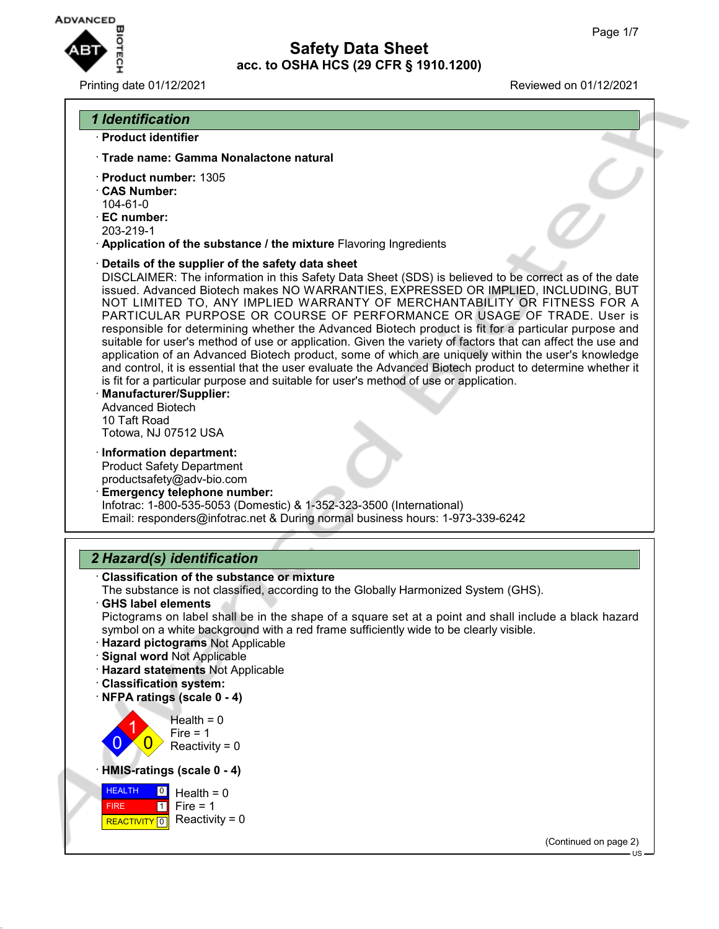

### Printing date 01/12/2021 Reviewed on 01/12/2021

## *1 Identification*

- · **Product identifier**
- · **Trade name: Gamma Nonalactone natural**
- · **Product number:** 1305
- · **CAS Number:**
- 104-61-0 · **EC number:**
- 203-219-1
- · **Application of the substance / the mixture** Flavoring Ingredients
- · **Details of the supplier of the safety data sheet**

DISCLAIMER: The information in this Safety Data Sheet (SDS) is believed to be correct as of the date issued. Advanced Biotech makes NO WARRANTIES, EXPRESSED OR IMPLIED, INCLUDING, BUT NOT LIMITED TO, ANY IMPLIED WARRANTY OF MERCHANTABILITY OR FITNESS FOR A PARTICULAR PURPOSE OR COURSE OF PERFORMANCE OR USAGE OF TRADE. User is responsible for determining whether the Advanced Biotech product is fit for a particular purpose and suitable for user's method of use or application. Given the variety of factors that can affect the use and application of an Advanced Biotech product, some of which are uniquely within the user's knowledge and control, it is essential that the user evaluate the Advanced Biotech product to determine whether it is fit for a particular purpose and suitable for user's method of use or application.

- · **Manufacturer/Supplier:** Advanced Biotech 10 Taft Road Totowa, NJ 07512 USA
- · **Information department:** Product Safety Department productsafety@adv-bio.com
- · **Emergency telephone number:** Infotrac: 1-800-535-5053 (Domestic) & 1-352-323-3500 (International) Email: responders@infotrac.net & During normal business hours: 1-973-339-6242

## *2 Hazard(s) identification*

· **Classification of the substance or mixture**

The substance is not classified, according to the Globally Harmonized System (GHS).

- · **GHS label elements** Pictograms on label shall be in the shape of a square set at a point and shall include a black hazard symbol on a white background with a red frame sufficiently wide to be clearly visible.
- · **Hazard pictograms** Not Applicable
- · **Signal word** Not Applicable
- · **Hazard statements** Not Applicable
- · **Classification system:**
- · **NFPA ratings (scale 0 4)**

 $\overline{0}$ 1  $\overline{0}$  $Health = 0$ Fire  $= 1$  $Reactivity = 0$ 

· **HMIS-ratings (scale 0 - 4)**



(Continued on page 2)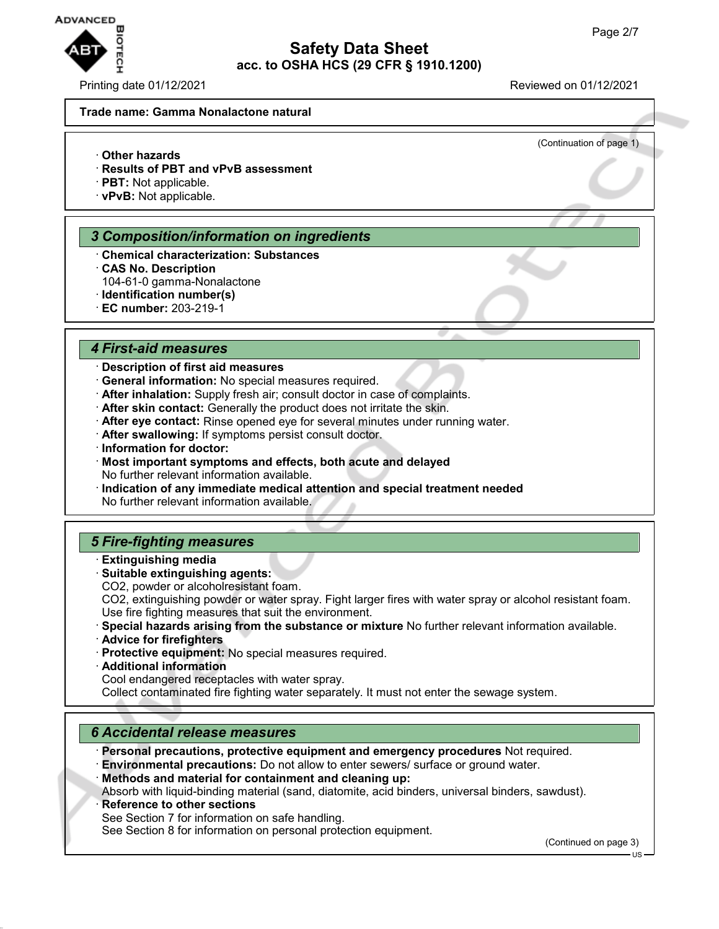

(Continuation of page 1)

#### **Trade name: Gamma Nonalactone natural**

- · **Other hazards**
- · **Results of PBT and vPvB assessment**
- · **PBT:** Not applicable.
- · **vPvB:** Not applicable.

#### *3 Composition/information on ingredients*

- · **Chemical characterization: Substances**
- · **CAS No. Description**
- 104-61-0 gamma-Nonalactone
- · **Identification number(s)**
- · **EC number:** 203-219-1

#### *4 First-aid measures*

### · **Description of first aid measures**

- · **General information:** No special measures required.
- · **After inhalation:** Supply fresh air; consult doctor in case of complaints.
- · **After skin contact:** Generally the product does not irritate the skin.
- · **After eye contact:** Rinse opened eye for several minutes under running water.
- · **After swallowing:** If symptoms persist consult doctor.
- · **Information for doctor:**
- · **Most important symptoms and effects, both acute and delayed** No further relevant information available.
- · **Indication of any immediate medical attention and special treatment needed** No further relevant information available.

## *5 Fire-fighting measures*

- · **Extinguishing media**
- · **Suitable extinguishing agents:**
- CO2, powder or alcoholresistant foam.
- CO2, extinguishing powder or water spray. Fight larger fires with water spray or alcohol resistant foam. Use fire fighting measures that suit the environment.
- · **Special hazards arising from the substance or mixture** No further relevant information available.
- · **Advice for firefighters**
- · **Protective equipment:** No special measures required.
- · **Additional information**

Cool endangered receptacles with water spray.

Collect contaminated fire fighting water separately. It must not enter the sewage system.

### *6 Accidental release measures*

· **Personal precautions, protective equipment and emergency procedures** Not required. · **Environmental precautions:** Do not allow to enter sewers/ surface or ground water.

· **Methods and material for containment and cleaning up:**

Absorb with liquid-binding material (sand, diatomite, acid binders, universal binders, sawdust).

**Reference to other sections** 

See Section 7 for information on safe handling.

See Section 8 for information on personal protection equipment.

(Continued on page 3)

US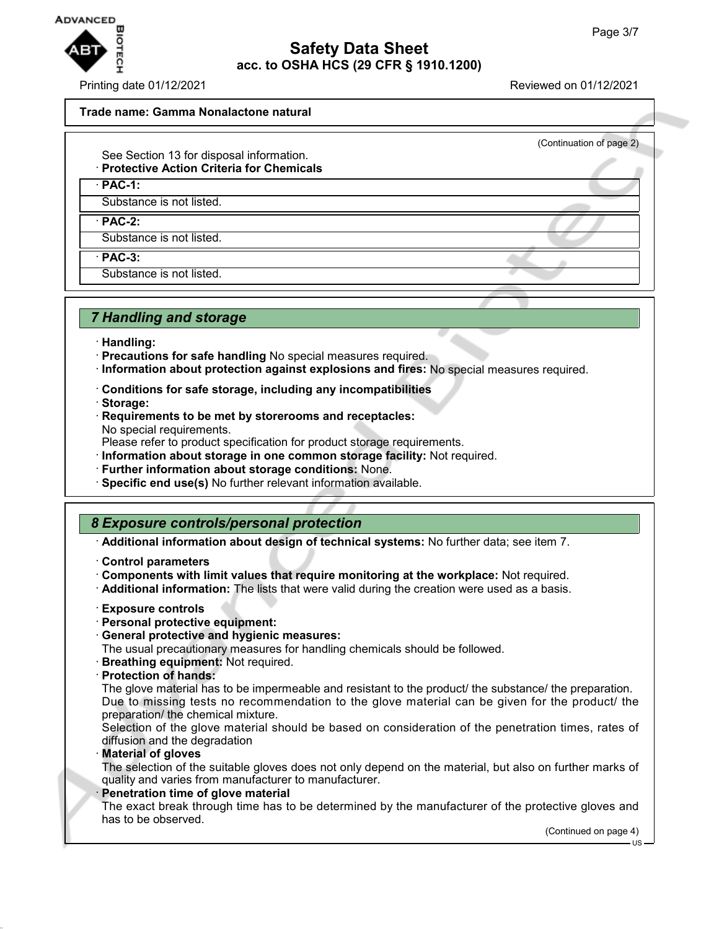

Printing date 01/12/2021 Reviewed on 01/12/2021

(Continuation of page 2)

#### **Trade name: Gamma Nonalactone natural**

- See Section 13 for disposal information.
- · **Protective Action Criteria for Chemicals**

· **PAC-1:**

Substance is not listed.

· **PAC-2:**

Substance is not listed.

· **PAC-3:**

Substance is not listed.

## *7 Handling and storage*

- · **Handling:**
- · **Precautions for safe handling** No special measures required.
- · **Information about protection against explosions and fires:** No special measures required.
- · **Conditions for safe storage, including any incompatibilities**
- · **Storage:**
- · **Requirements to be met by storerooms and receptacles:** No special requirements.

Please refer to product specification for product storage requirements.

- · **Information about storage in one common storage facility:** Not required.
- · **Further information about storage conditions:** None.
- · **Specific end use(s)** No further relevant information available.

## *8 Exposure controls/personal protection*

· **Additional information about design of technical systems:** No further data; see item 7.

- · **Control parameters**
- · **Components with limit values that require monitoring at the workplace:** Not required.
- · **Additional information:** The lists that were valid during the creation were used as a basis.
- · **Exposure controls**
- · **Personal protective equipment:**
- · **General protective and hygienic measures:**

The usual precautionary measures for handling chemicals should be followed.

- · **Breathing equipment:** Not required.
- · **Protection of hands:**

The glove material has to be impermeable and resistant to the product/ the substance/ the preparation. Due to missing tests no recommendation to the glove material can be given for the product/ the preparation/ the chemical mixture.

Selection of the glove material should be based on consideration of the penetration times, rates of diffusion and the degradation

· **Material of gloves**

The selection of the suitable gloves does not only depend on the material, but also on further marks of quality and varies from manufacturer to manufacturer.

#### **Penetration time of glove material**

The exact break through time has to be determined by the manufacturer of the protective gloves and has to be observed.

(Continued on page 4) US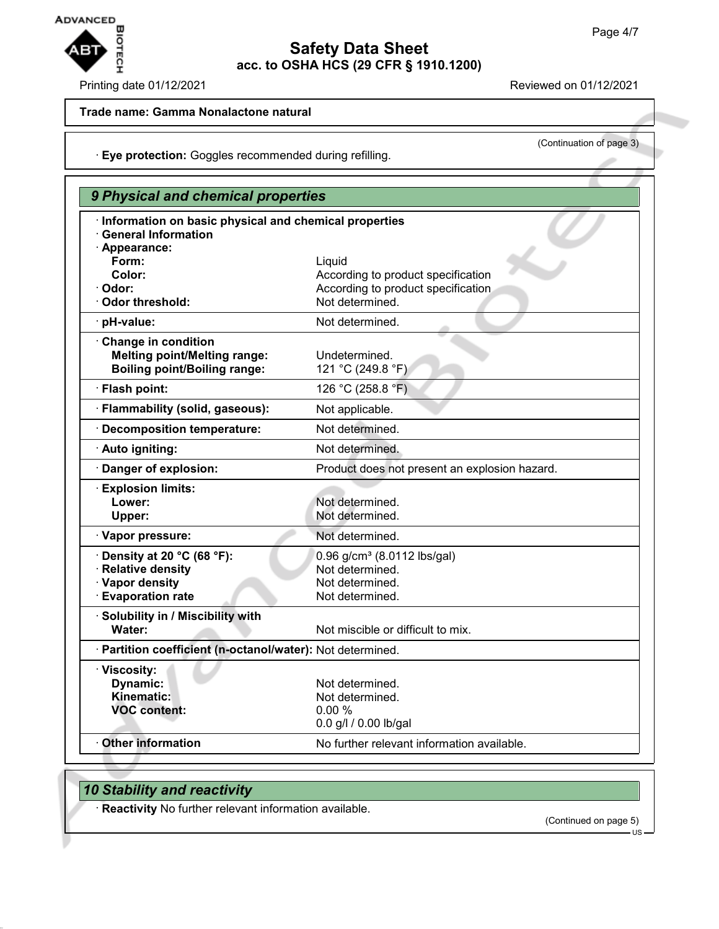

### Printing date 01/12/2021 Reviewed on 01/12/2021

(Continuation of page 3)

### **Trade name: Gamma Nonalactone natural**

· **Eye protection:** Goggles recommended during refilling.

| 9 Physical and chemical properties                                                    |                                                            |
|---------------------------------------------------------------------------------------|------------------------------------------------------------|
| · Information on basic physical and chemical properties<br><b>General Information</b> |                                                            |
| · Appearance:<br>Form:                                                                | Liquid                                                     |
| Color:                                                                                | According to product specification                         |
| · Odor:<br>Odor threshold:                                                            | According to product specification<br>Not determined.      |
| · pH-value:                                                                           | Not determined.                                            |
| Change in condition                                                                   |                                                            |
| <b>Melting point/Melting range:</b><br><b>Boiling point/Boiling range:</b>            | Undetermined.<br>121 °C (249.8 °F)                         |
| · Flash point:                                                                        | 126 °C (258.8 °F)                                          |
| · Flammability (solid, gaseous):                                                      | Not applicable.                                            |
| Decomposition temperature:                                                            | Not determined.                                            |
| · Auto igniting:                                                                      | Not determined.                                            |
| Danger of explosion:                                                                  | Product does not present an explosion hazard.              |
| <b>Explosion limits:</b>                                                              |                                                            |
| Lower:<br>Upper:                                                                      | Not determined.<br>Not determined.                         |
| · Vapor pressure:                                                                     | Not determined.                                            |
| $\cdot$ Density at 20 °C (68 °F):                                                     |                                                            |
| · Relative density                                                                    | 0.96 g/cm <sup>3</sup> (8.0112 lbs/gal)<br>Not determined. |
| · Vapor density                                                                       | Not determined.                                            |
| <b>Evaporation rate</b>                                                               | Not determined.                                            |
| · Solubility in / Miscibility with<br>Water:                                          | Not miscible or difficult to mix.                          |
|                                                                                       |                                                            |
| · Partition coefficient (n-octanol/water): Not determined.                            |                                                            |
| · Viscosity:<br><b>Dynamic:</b>                                                       | Not determined.                                            |
| Kinematic:                                                                            | Not determined.                                            |
| <b>VOC content:</b>                                                                   | 0.00%                                                      |
|                                                                                       | 0.0 g/l / 0.00 lb/gal                                      |
| <b>Other information</b>                                                              | No further relevant information available.                 |

# *10 Stability and reactivity*

· **Reactivity** No further relevant information available.

(Continued on page 5)

US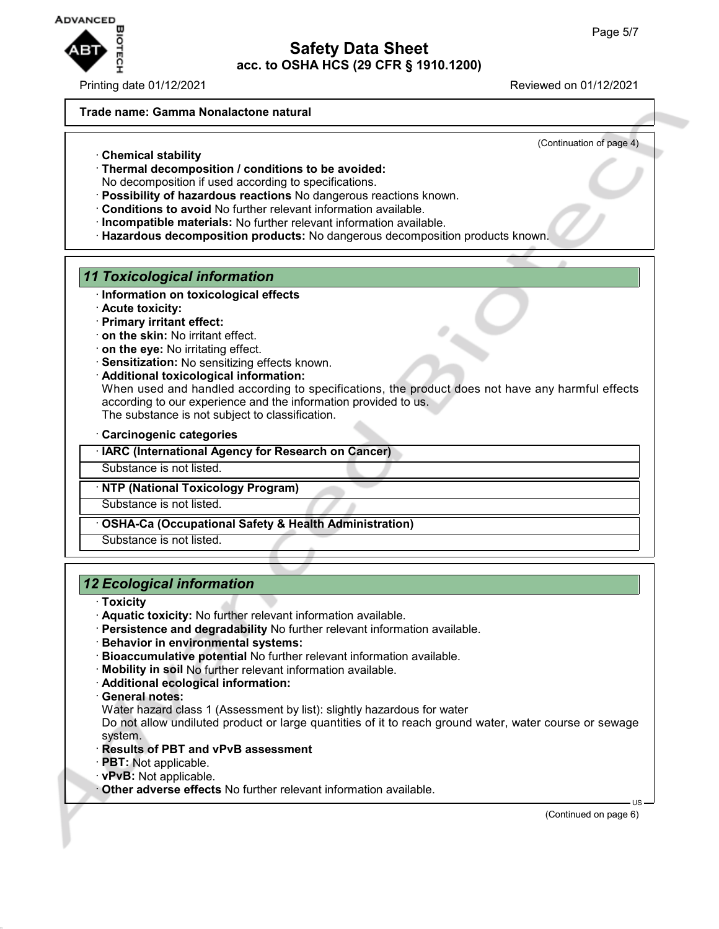

Printing date 01/12/2021 Reviewed on 01/12/2021

### **Trade name: Gamma Nonalactone natural**

(Continuation of page 4)

- · **Chemical stability**
- · **Thermal decomposition / conditions to be avoided:**
- No decomposition if used according to specifications.
- · **Possibility of hazardous reactions** No dangerous reactions known.
- · **Conditions to avoid** No further relevant information available.
- · **Incompatible materials:** No further relevant information available.
- · **Hazardous decomposition products:** No dangerous decomposition products known.

## *11 Toxicological information*

- · **Information on toxicological effects**
- · **Acute toxicity:**
- · **Primary irritant effect:**
- · **on the skin:** No irritant effect.
- · **on the eye:** No irritating effect.
- · **Sensitization:** No sensitizing effects known.
- · **Additional toxicological information:**

When used and handled according to specifications, the product does not have any harmful effects according to our experience and the information provided to us. The substance is not subject to classification.

· **Carcinogenic categories**

· **IARC (International Agency for Research on Cancer)**

Substance is not listed.

### · **NTP (National Toxicology Program)**

Substance is not listed.

· **OSHA-Ca (Occupational Safety & Health Administration)**

Substance is not listed.

# *12 Ecological information*

- · **Toxicity**
- · **Aquatic toxicity:** No further relevant information available.
- · **Persistence and degradability** No further relevant information available.
- · **Behavior in environmental systems:**
- · **Bioaccumulative potential** No further relevant information available.
- · **Mobility in soil** No further relevant information available.
- · **Additional ecological information:**
- · **General notes:**

Water hazard class 1 (Assessment by list): slightly hazardous for water

Do not allow undiluted product or large quantities of it to reach ground water, water course or sewage system.

- · **Results of PBT and vPvB assessment**
- · **PBT:** Not applicable.
- · **vPvB:** Not applicable.

· **Other adverse effects** No further relevant information available.

(Continued on page 6)

US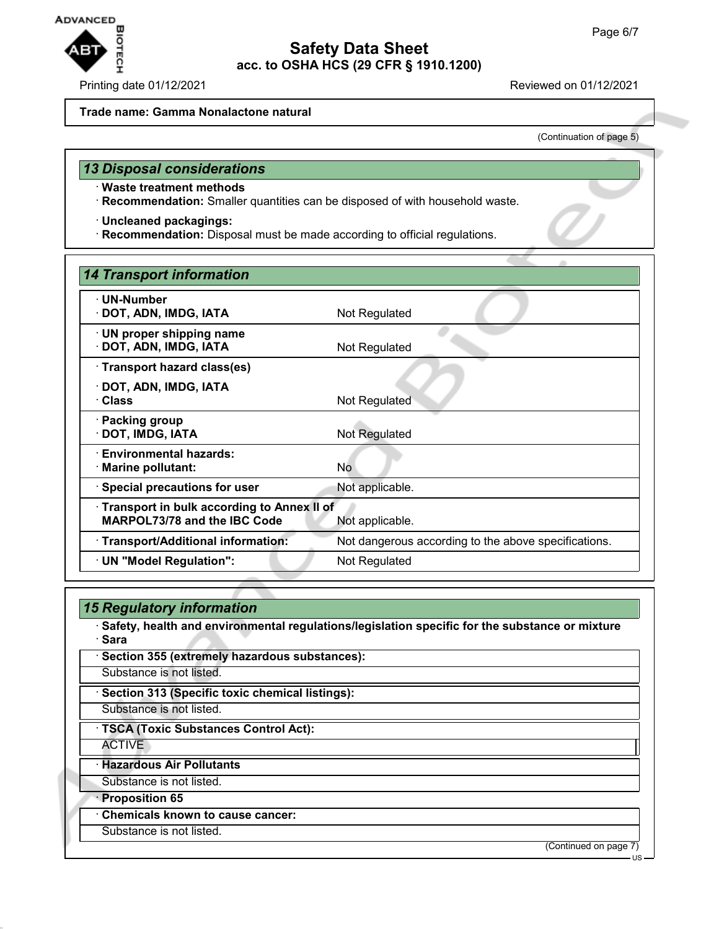

#### **Trade name: Gamma Nonalactone natural**

(Continuation of page 5)

### *13 Disposal considerations*

- · **Waste treatment methods**
- · **Recommendation:** Smaller quantities can be disposed of with household waste.
- · **Uncleaned packagings:**
- · **Recommendation:** Disposal must be made according to official regulations.

| 14 Transport information                   |                                                      |
|--------------------------------------------|------------------------------------------------------|
| · UN-Number                                |                                                      |
| · DOT, ADN, IMDG, IATA                     | Not Regulated                                        |
| $\cdot$ UN proper shipping name            |                                                      |
| · DOT, ADN, IMDG, IATA                     | Not Regulated                                        |
| · Transport hazard class(es)               |                                                      |
| · DOT, ADN, IMDG, IATA                     |                                                      |
| · Class                                    | Not Regulated                                        |
| · Packing group                            |                                                      |
| · DOT, IMDG, IATA                          | Not Regulated                                        |
| · Environmental hazards:                   |                                                      |
| · Marine pollutant:                        | No                                                   |
| · Special precautions for user             | Not applicable.                                      |
| Transport in bulk according to Annex II of |                                                      |
| <b>MARPOL73/78 and the IBC Code</b>        | Not applicable.                                      |
| · Transport/Additional information:        | Not dangerous according to the above specifications. |
| · UN "Model Regulation":                   | Not Regulated                                        |
|                                            |                                                      |

## *15 Regulatory information*

- · **Safety, health and environmental regulations/legislation specific for the substance or mixture** · **Sara**
- · **Section 355 (extremely hazardous substances):** Substance is not listed. · **Section 313 (Specific toxic chemical listings):** Substance is not listed.
	- · **TSCA (Toxic Substances Control Act):**
		- ACTIVE
	- · **Hazardous Air Pollutants**
	- Substance is not listed.
	- · **Proposition 65**
	- · **Chemicals known to cause cancer:**
	- Substance is not listed.

(Continued on page 7)

US